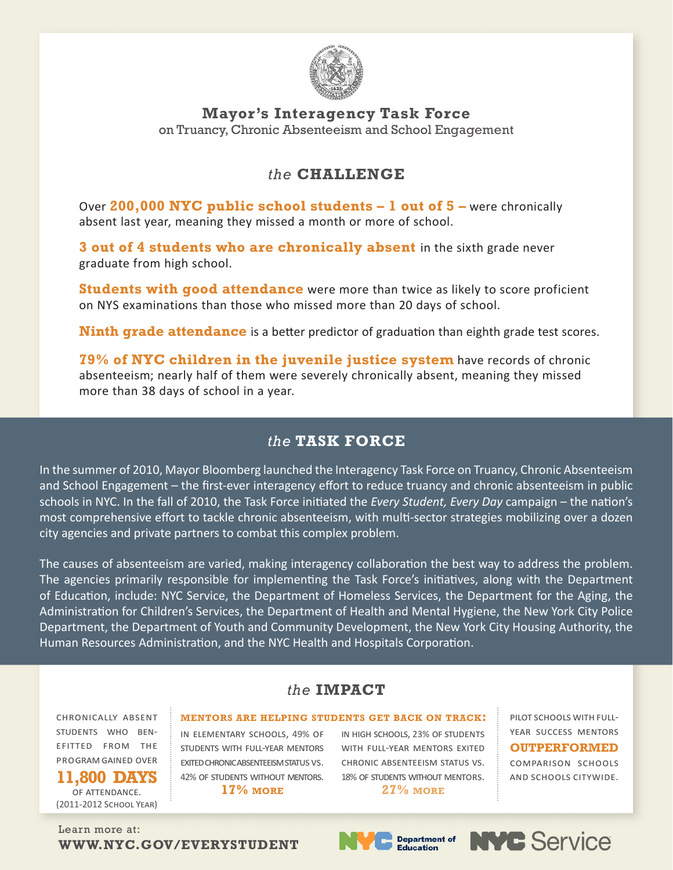

**Mayor's Interagency Task Force**  on Truancy, Chronic Absenteeism and School Engagement

# *the* **CHALLENGE**

Over **200,000 NYC public school students – 1 out of 5 –** were chronically absent last year, meaning they missed a month or more of school.

**3 out of 4 students who are chronically absent** in the sixth grade never graduate from high school.

**Students with good attendance** were more than twice as likely to score proficient on NYS examinations than those who missed more than 20 days of school.

**Ninth grade attendance** is a better predictor of graduation than eighth grade test scores.

**79% of NYC children in the juvenile justice system** have records of chronic absenteeism; nearly half of them were severely chronically absent, meaning they missed more than 38 days of school in a year.

# *the* **TASK FORCE**

In the summer of 2010, Mayor Bloomberg launched the Interagency Task Force on Truancy, Chronic Absenteeism and School Engagement – the first-ever interagency effort to reduce truancy and chronic absenteeism in public schools in NYC. In the fall of 2010, the Task Force initiated the *Every Student, Every Day* campaign – the nation's most comprehensive effort to tackle chronic absenteeism, with multi-sector strategies mobilizing over a dozen city agencies and private partners to combat this complex problem.

The causes of absenteeism are varied, making interagency collaboration the best way to address the problem. The agencies primarily responsible for implementing the Task Force's initiatives, along with the Department of Education, include: NYC Service, the Department of Homeless Services, the Department for the Aging, the Administration for Children's Services, the Department of Health and Mental Hygiene, the New York City Police Department, the Department of Youth and Community Development, the New York City Housing Authority, the Human Resources Administration, and the NYC Health and Hospitals Corporation.

## *the* **IMPACT**

**mentors are helping students get back on track:**

chronically absent students who benefitted from the program gained over

**11,800 DAYS** of attendance. (2011-2012 School Year) in elementary schools, 49% of students with full-year mentors exited chronic absenteeism status vs. 42% of students without mentors.

**17% more**

in high schools, 23% of students WITH FULL-YEAR MENTORS EXITED chronic absenteeism status vs. 18% of students without mentors. **27% more**

pilot schools with fullyear success mentors **OUTPERFORMED** comparison schools

and schools citywide.

Learn more at: **WWW.NYC.GOV/EVERYSTUDENT**